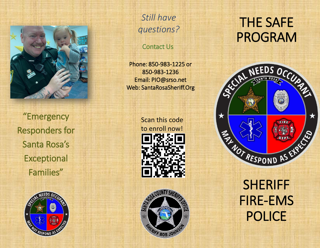

"Emergency Responders for Santa Rosa's **Exceptional** Families"



*Still have questions?*

Contact Us

Phone: 850-983-1225 or 850-983-1236 Email: PIO@srso.net Web: SantaRosaSheriff.Org





# THE SAFE PROGRAM



SHERIFF FIRE-EMS POLICE